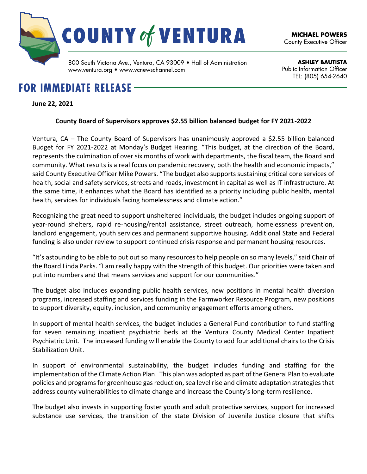

**ASHLEY BAUTISTA Public Information Officer** TEL: (805) 654 2640

# www.ventura.org • www.vcnewschannel.com

## **FOR IMMEDIATE RELEASE -**

#### **June 22, 2021**

#### **County Board of Supervisors approves \$2.55 billion balanced budget for FY 2021-2022**

Ventura, CA – The County Board of Supervisors has unanimously approved a \$2.55 billion balanced Budget for FY 2021-2022 at Monday's Budget Hearing. "This budget, at the direction of the Board, represents the culmination of over six months of work with departments, the fiscal team, the Board and community. What results is a real focus on pandemic recovery, both the health and economic impacts," said County Executive Officer Mike Powers. "The budget also supports sustaining critical core services of health, social and safety services, streets and roads, investment in capital as well as IT infrastructure. At the same time, it enhances what the Board has identified as a priority including public health, mental health, services for individuals facing homelessness and climate action."

Recognizing the great need to support unsheltered individuals, the budget includes ongoing support of year-round shelters, rapid re-housing/rental assistance, street outreach, homelessness prevention, landlord engagement, youth services and permanent supportive housing. Additional State and Federal funding is also under review to support continued crisis response and permanent housing resources.

"It's astounding to be able to put out so many resources to help people on so many levels," said Chair of the Board Linda Parks. "I am really happy with the strength of this budget. Our priorities were taken and put into numbers and that means services and support for our communities."

The budget also includes expanding public health services, new positions in mental health diversion programs, increased staffing and services funding in the Farmworker Resource Program, new positions to support diversity, equity, inclusion, and community engagement efforts among others.

In support of mental health services, the budget includes a General Fund contribution to fund staffing for seven remaining inpatient psychiatric beds at the Ventura County Medical Center Inpatient Psychiatric Unit. The increased funding will enable the County to add four additional chairs to the Crisis Stabilization Unit.

In support of environmental sustainability, the budget includes funding and staffing for the implementation of the Climate Action Plan. This plan was adopted as part of the General Plan to evaluate policies and programs for greenhouse gas reduction, sea level rise and climate adaptation strategies that address county vulnerabilities to climate change and increase the County's long-term resilience.

The budget also invests in supporting foster youth and adult protective services, support for increased substance use services, the transition of the state Division of Juvenile Justice closure that shifts